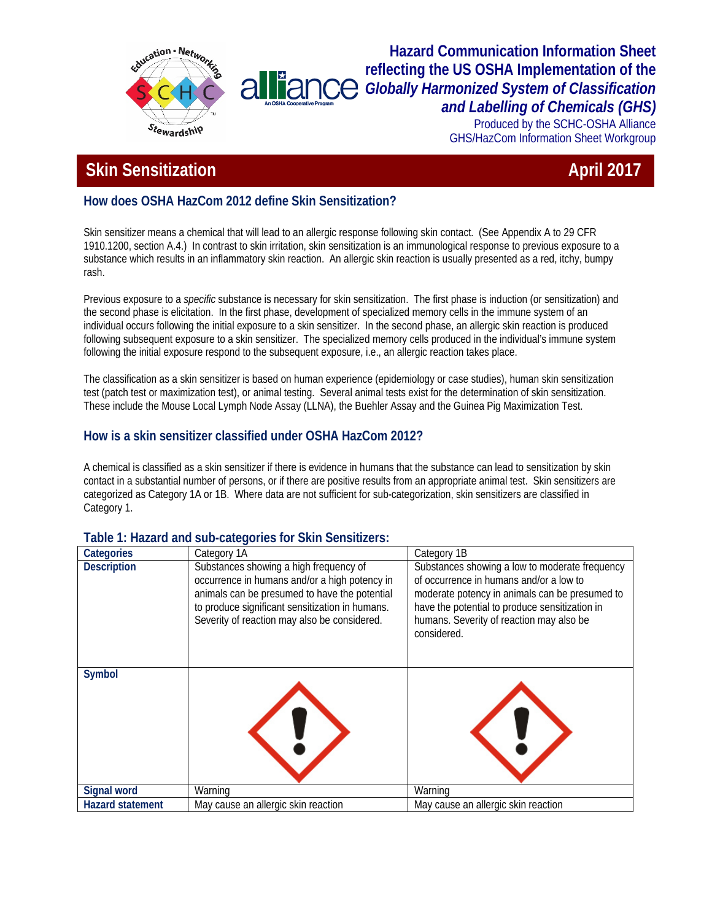

#### **Hazard Communication Information Sheet reflecting the US OSHA Implementation of the**  alliand *Globally Harmonized System of Classification and Labelling of Chemicals (GHS)*

Produced by the SCHC-OSHA Alliance GHS/HazCom Information Sheet Workgroup

# **Skin Sensitization** April 2017

## **How does OSHA HazCom 2012 define Skin Sensitization?**

Skin sensitizer means a chemical that will lead to an allergic response following skin contact. (See Appendix A to 29 CFR 1910.1200, section A.4.) In contrast to skin irritation, skin sensitization is an immunological response to previous exposure to a substance which results in an inflammatory skin reaction. An allergic skin reaction is usually presented as a red, itchy, bumpy rash.

Previous exposure to a *specific* substance is necessary for skin sensitization. The first phase is induction (or sensitization) and the second phase is elicitation. In the first phase, development of specialized memory cells in the immune system of an individual occurs following the initial exposure to a skin sensitizer. In the second phase, an allergic skin reaction is produced following subsequent exposure to a skin sensitizer. The specialized memory cells produced in the individual's immune system following the initial exposure respond to the subsequent exposure, i.e., an allergic reaction takes place.

The classification as a skin sensitizer is based on human experience (epidemiology or case studies), human skin sensitization test (patch test or maximization test), or animal testing. Several animal tests exist for the determination of skin sensitization. These include the Mouse Local Lymph Node Assay (LLNA), the Buehler Assay and the Guinea Pig Maximization Test.

### **How is a skin sensitizer classified under OSHA HazCom 2012?**

A chemical is classified as a skin sensitizer if there is evidence in humans that the substance can lead to sensitization by skin contact in a substantial number of persons, or if there are positive results from an appropriate animal test. Skin sensitizers are categorized as Category 1A or 1B. Where data are not sufficient for sub-categorization, skin sensitizers are classified in Category 1.

| Categories              | Category 1A                                                                                                                                                                                                                                 | Category 1B                                                                                                                                                                                                                                              |
|-------------------------|---------------------------------------------------------------------------------------------------------------------------------------------------------------------------------------------------------------------------------------------|----------------------------------------------------------------------------------------------------------------------------------------------------------------------------------------------------------------------------------------------------------|
| <b>Description</b>      | Substances showing a high frequency of<br>occurrence in humans and/or a high potency in<br>animals can be presumed to have the potential<br>to produce significant sensitization in humans.<br>Severity of reaction may also be considered. | Substances showing a low to moderate frequency<br>of occurrence in humans and/or a low to<br>moderate potency in animals can be presumed to<br>have the potential to produce sensitization in<br>humans. Severity of reaction may also be<br>considered. |
| Symbol                  |                                                                                                                                                                                                                                             |                                                                                                                                                                                                                                                          |
| Signal word             | Warning                                                                                                                                                                                                                                     | Warning                                                                                                                                                                                                                                                  |
| <b>Hazard statement</b> | May cause an allergic skin reaction                                                                                                                                                                                                         | May cause an allergic skin reaction                                                                                                                                                                                                                      |

#### **Table 1: Hazard and sub-categories for Skin Sensitizers:**